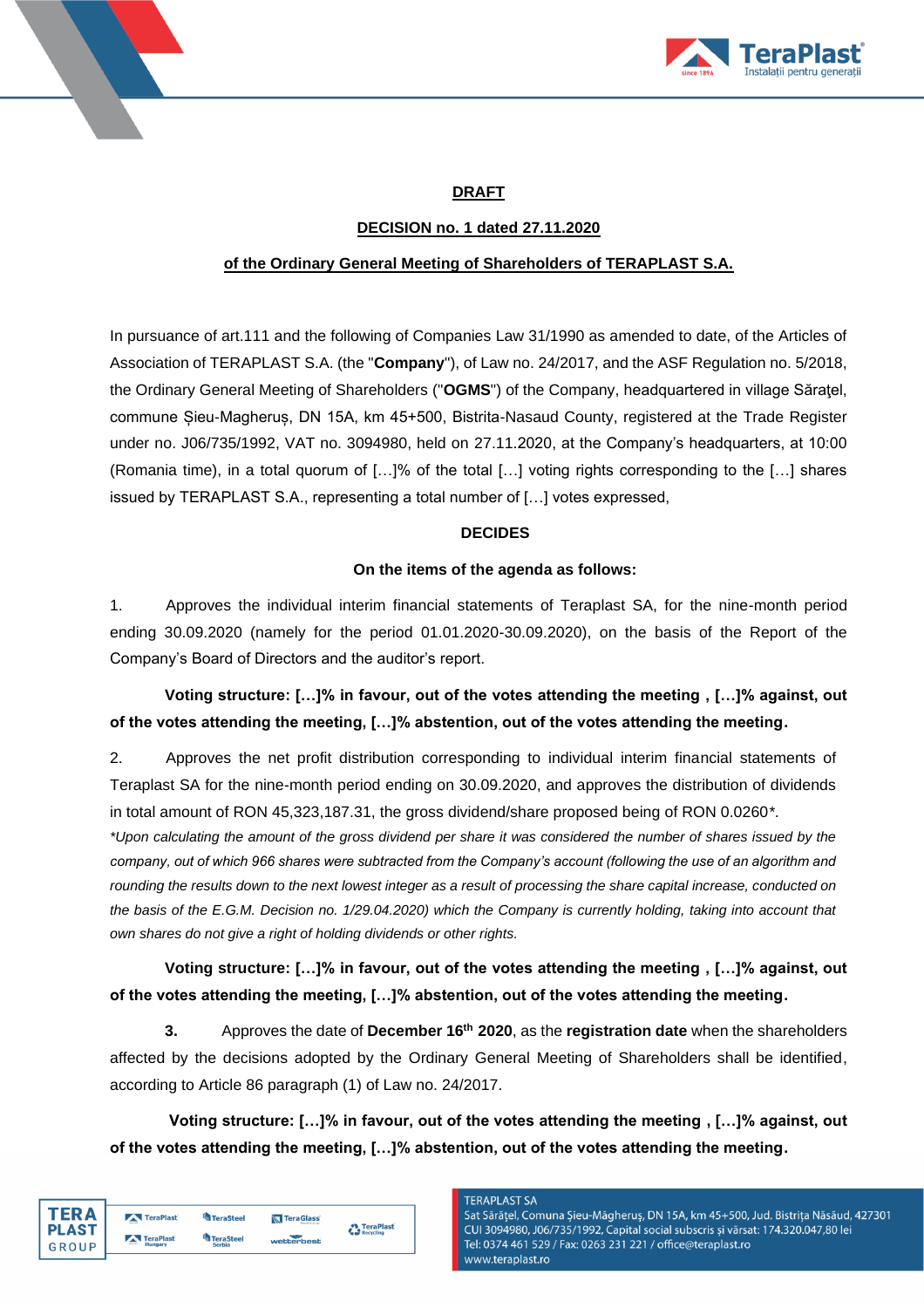



## **DRAFT**

## **DECISION no. 1 dated 27.11.2020**

### **of the Ordinary General Meeting of Shareholders of TERAPLAST S.A.**

In pursuance of art.111 and the following of Companies Law 31/1990 as amended to date, of the Articles of Association of TERAPLAST S.A. (the "**Company**"), of Law no. 24/2017, and the ASF Regulation no. 5/2018, the Ordinary General Meeting of Shareholders ("**OGMS**") of the Company, headquartered in village Săraţel, commune Șieu-Magheruș, DN 15A, km 45+500, Bistrita-Nasaud County, registered at the Trade Register under no. J06/735/1992, VAT no. 3094980, held on 27.11.2020, at the Company's headquarters, at 10:00 (Romania time), in a total quorum of […]% of the total […] voting rights corresponding to the […] shares issued by TERAPLAST S.A., representing a total number of […] votes expressed,

## **DECIDES**

### **On the items of the agenda as follows:**

1. Approves the individual interim financial statements of Teraplast SA, for the nine-month period ending 30.09.2020 (namely for the period 01.01.2020-30.09.2020), on the basis of the Report of the Company's Board of Directors and the auditor's report.

## **Voting structure: […]% in favour, out of the votes attending the meeting , […]% against, out of the votes attending the meeting, […]% abstention, out of the votes attending the meeting.**

2. Approves the net profit distribution corresponding to individual interim financial statements of Teraplast SA for the nine-month period ending on 30.09.2020, and approves the distribution of dividends in total amount of RON 45,323,187.31, the gross dividend/share proposed being of RON 0.0260*\**.

*\*Upon calculating the amount of the gross dividend per share it was considered the number of shares issued by the company, out of which 966 shares were subtracted from the Company's account (following the use of an algorithm and rounding the results down to the next lowest integer as a result of processing the share capital increase, conducted on*  the basis of the E.G.M. Decision no. 1/29.04.2020) which the Company is currently holding, taking into account that *own shares do not give a right of holding dividends or other rights.*

## **Voting structure: […]% in favour, out of the votes attending the meeting , […]% against, out of the votes attending the meeting, […]% abstention, out of the votes attending the meeting.**

**3.** Approves the date of **December 16th 2020**, as the **registration date** when the shareholders affected by the decisions adopted by the Ordinary General Meeting of Shareholders shall be identified, according to Article 86 paragraph (1) of Law no. 24/2017.

**Voting structure: […]% in favour, out of the votes attending the meeting , […]% against, out of the votes attending the meeting, […]% abstention, out of the votes attending the meeting.**

| TFR A        | TeraPlast | TeraSteel        | <b>N</b> TeraGlass | TeraPlast |
|--------------|-----------|------------------|--------------------|-----------|
| <b>PLAST</b> | TeraPlast | <b>TeraSteel</b> |                    | Recycling |
| GROUP        | Hungary   | <b>Serbia</b>    | wetterbest         |           |

### **TERAPLAST SA**

Sat Sărățel, Comuna Șieu-Măgheruș, DN 15A, km 45+500, Jud. Bistrița Năsăud, 427301 CUI 3094980, J06/735/1992, Capital social subscris și vărsat: 174.320.047,80 lei Tel: 0374 461 529 / Fax: 0263 231 221 / office@teraplast.ro www.teraplast.ro